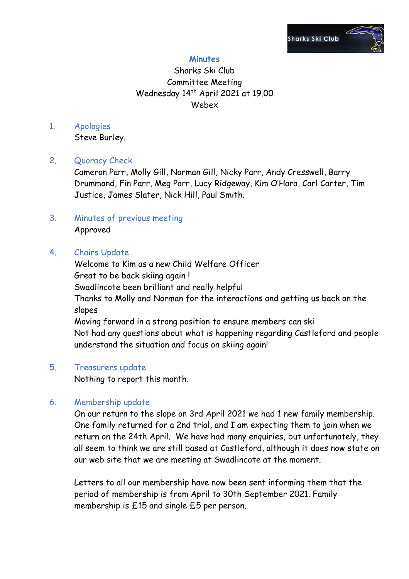

# **Minutes**

# Sharks Ski Club Committee Meeting Wednesday 14<sup>th</sup> April 2021 at 19.00 Webex

## 1. Apologies

Steve Burley.

# 2. Quoracy Check

Cameron Parr, Molly Gill, Norman Gill, Nicky Parr, Andy Cresswell, Barry Drummond, Fin Parr, Meg Parr, Lucy Ridgeway, Kim O'Hara, Carl Carter, Tim Justice, James Slater, Nick Hill, Paul Smith.

## 3. Minutes of previous meeting Approved

## 4. Chairs Update

Welcome to Kim as a new Child Welfare Officer Great to be back skiing again ! Swadlincote been brilliant and really helpful Thanks to Molly and Norman for the interactions and getting us back on the slopes Moving forward in a strong position to ensure members can ski Not had any questions about what is happening regarding Castleford and people understand the situation and focus on skiing again!

### 5. Treasurers update

Nothing to report this month.

# 6. Membership update

On our return to the slope on 3rd April 2021 we had 1 new family membership. One family returned for a 2nd trial, and I am expecting them to join when we return on the 24th April. We have had many enquiries, but unfortunately, they all seem to think we are still based at Castleford, although it does now state on our web site that we are meeting at Swadlincote at the moment.

Letters to all our membership have now been sent informing them that the period of membership is from April to 30th September 2021. Family membership is £15 and single £5 per person.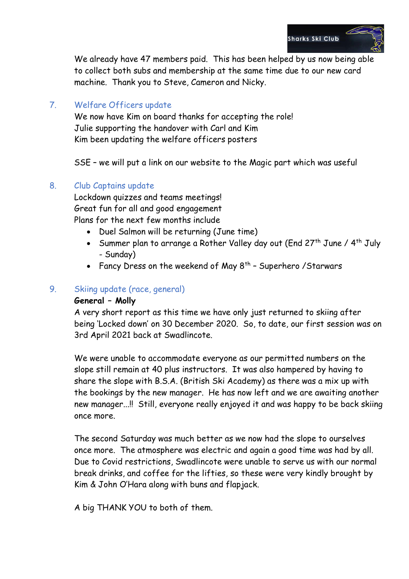

We already have 47 members paid. This has been helped by us now being able to collect both subs and membership at the same time due to our new card machine. Thank you to Steve, Cameron and Nicky.

# 7. Welfare Officers update

We now have Kim on board thanks for accepting the role! Julie supporting the handover with Carl and Kim Kim been updating the welfare officers posters

SSE – we will put a link on our website to the Magic part which was useful

## 8. Club Captains update

Lockdown quizzes and teams meetings! Great fun for all and good engagement Plans for the next few months include

- Duel Salmon will be returning (June time)
- Summer plan to arrange a Rother Valley day out (End 27<sup>th</sup> June / 4<sup>th</sup> July - Sunday)
- Fancy Dress on the weekend of May  $8^{th}$  Superhero / Starwars

## 9. Skiing update (race, general)

### **General – Molly**

A very short report as this time we have only just returned to skiing after being 'Locked down' on 30 December 2020. So, to date, our first session was on 3rd April 2021 back at Swadlincote.

We were unable to accommodate everyone as our permitted numbers on the slope still remain at 40 plus instructors. It was also hampered by having to share the slope with B.S.A. (British Ski Academy) as there was a mix up with the bookings by the new manager. He has now left and we are awaiting another new manager...!! Still, everyone really enjoyed it and was happy to be back skiing once more.

The second Saturday was much better as we now had the slope to ourselves once more. The atmosphere was electric and again a good time was had by all. Due to Covid restrictions, Swadlincote were unable to serve us with our normal break drinks, and coffee for the lifties, so these were very kindly brought by Kim & John O'Hara along with buns and flapjack.

A big THANK YOU to both of them.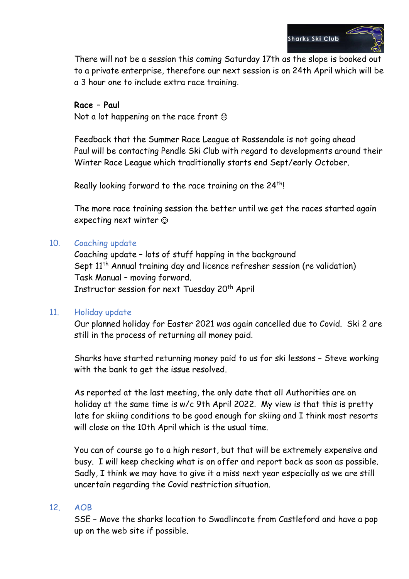

There will not be a session this coming Saturday 17th as the slope is booked out to a private enterprise, therefore our next session is on 24th April which will be a 3 hour one to include extra race training.

#### **Race – Paul**

Not a lot happening on the race front  $\odot$ 

Feedback that the Summer Race League at Rossendale is not going ahead Paul will be contacting Pendle Ski Club with regard to developments around their Winter Race League which traditionally starts end Sept/early October.

Really looking forward to the race training on the 24<sup>th</sup>!

The more race training session the better until we get the races started again expecting next winter

## 10. Coaching update

Coaching update – lots of stuff happing in the background Sept 11<sup>th</sup> Annual training day and licence refresher session (re validation) Task Manual – moving forward. Instructor session for next Tuesday 20<sup>th</sup> April

# 11. Holiday update

Our planned holiday for Easter 2021 was again cancelled due to Covid. Ski 2 are still in the process of returning all money paid.

Sharks have started returning money paid to us for ski lessons – Steve working with the bank to get the issue resolved.

As reported at the last meeting, the only date that all Authorities are on holiday at the same time is w/c 9th April 2022. My view is that this is pretty late for skiing conditions to be good enough for skiing and I think most resorts will close on the 10th April which is the usual time.

You can of course go to a high resort, but that will be extremely expensive and busy. I will keep checking what is on offer and report back as soon as possible. Sadly, I think we may have to give it a miss next year especially as we are still uncertain regarding the Covid restriction situation.

### 12. AOB

SSE – Move the sharks location to Swadlincote from Castleford and have a pop up on the web site if possible.